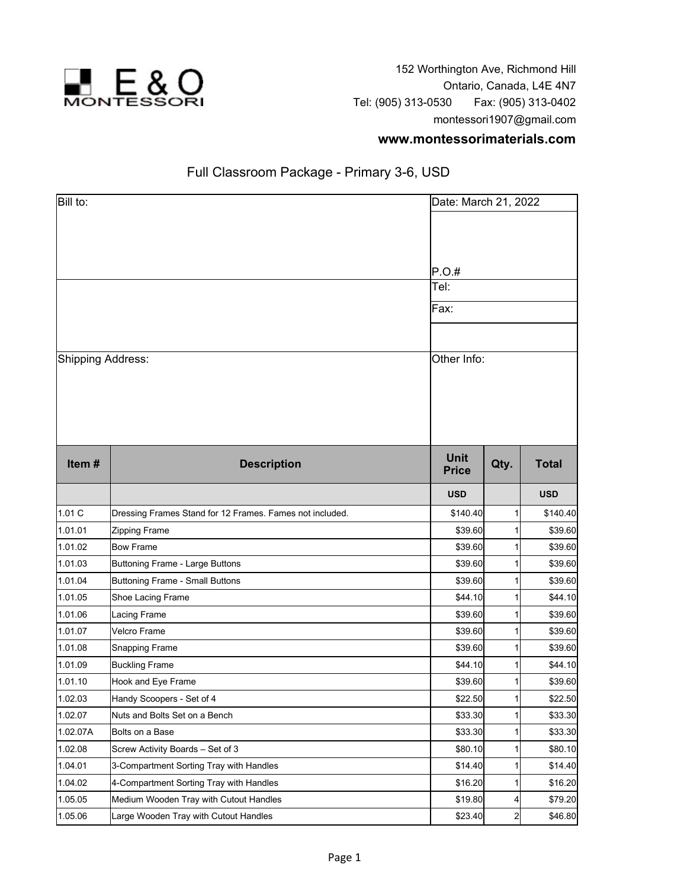

152 Worthington Ave, Richmond Hill Ontario, Canada, L4E 4N7 Tel: (905) 313-0530 Fax: (905) 313-0402 montessori1907@gmail.com

## **www.montessorimaterials.com**

## Full Classroom Package - Primary 3-6, USD

| Bill to:          |                                                          | Date: March 21, 2022                 |                |              |
|-------------------|----------------------------------------------------------|--------------------------------------|----------------|--------------|
| Shipping Address: |                                                          | P.O.#<br>Tel:<br>Fax:<br>Other Info: |                |              |
| Item#             | <b>Description</b>                                       | <b>Unit</b><br><b>Price</b>          | Qty.           | <b>Total</b> |
|                   |                                                          | <b>USD</b>                           |                | <b>USD</b>   |
| 1.01 C            | Dressing Frames Stand for 12 Frames. Fames not included. | \$140.40                             | 1              | \$140.40     |
| 1.01.01           | Zipping Frame                                            | \$39.60                              |                | \$39.60      |
| 1.01.02           | <b>Bow Frame</b>                                         | \$39.60                              | 1              | \$39.60      |
| 1.01.03           | Buttoning Frame - Large Buttons                          | \$39.60                              |                | \$39.60      |
| 1.01.04           | Buttoning Frame - Small Buttons                          | \$39.60                              |                | \$39.60      |
| 1.01.05           | Shoe Lacing Frame                                        | \$44.10                              |                | \$44.10      |
| 1.01.06           | Lacing Frame                                             | \$39.60                              | 1              | \$39.60      |
| 1.01.07           | Velcro Frame                                             | \$39.60                              |                | \$39.60      |
| 1.01.08           | Snapping Frame                                           | \$39.60                              | 1              | \$39.60      |
| 1.01.09           | <b>Buckling Frame</b>                                    | \$44.10                              | 1              | \$44.10      |
| 1.01.10           | Hook and Eye Frame                                       | \$39.60                              | 1              | \$39.60      |
| 1.02.03           | Handy Scoopers - Set of 4                                | \$22.50                              | 1              | \$22.50      |
| 1.02.07           | Nuts and Bolts Set on a Bench                            | \$33.30                              | 1              | \$33.30      |
| 1.02.07A          | Bolts on a Base                                          | \$33.30                              | 1              | \$33.30      |
| 1.02.08           | Screw Activity Boards - Set of 3                         | \$80.10                              |                | \$80.10]     |
| 1.04.01           | 3-Compartment Sorting Tray with Handles                  | \$14.40                              |                | \$14.40      |
| 1.04.02           | 4-Compartment Sorting Tray with Handles                  | \$16.20                              | 1              | \$16.20      |
| 1.05.05           | Medium Wooden Tray with Cutout Handles                   | \$19.80                              | 4              | \$79.20      |
| 1.05.06           | Large Wooden Tray with Cutout Handles                    | \$23.40                              | $\overline{2}$ | \$46.80      |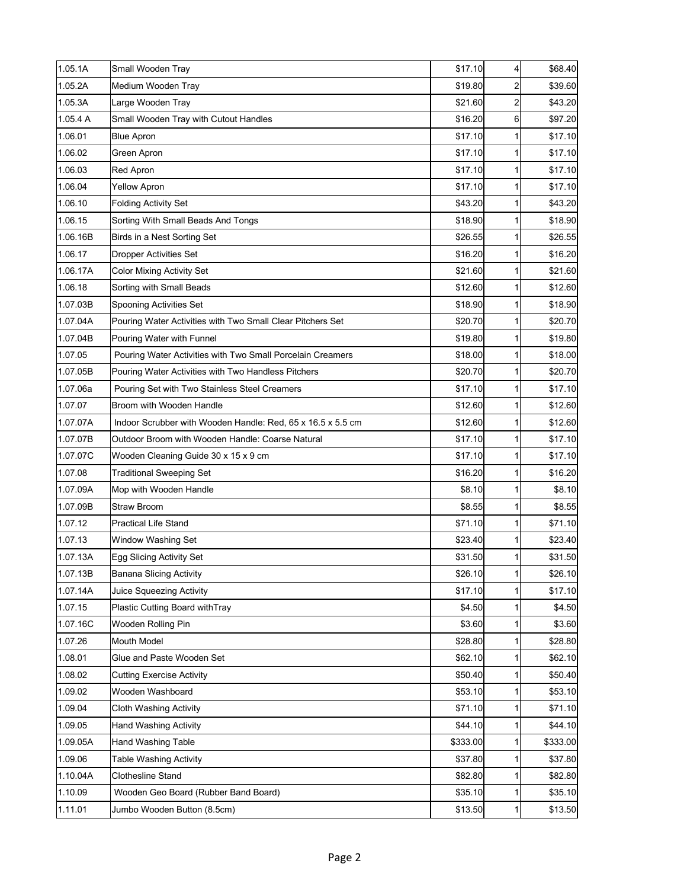| 1.05.1A  | Small Wooden Tray                                           | \$17.10  | 4            | \$68.40  |
|----------|-------------------------------------------------------------|----------|--------------|----------|
| 1.05.2A  | Medium Wooden Tray                                          | \$19.80  | 2            | \$39.60  |
| 1.05.3A  | Large Wooden Tray                                           | \$21.60  | 2            | \$43.20  |
| 1.05.4 A | Small Wooden Tray with Cutout Handles                       | \$16.20  | $6 \mid$     | \$97.20  |
| 1.06.01  | <b>Blue Apron</b>                                           | \$17.10  | 1            | \$17.10  |
| 1.06.02  | Green Apron                                                 | \$17.10  | 1            | \$17.10  |
| 1.06.03  | Red Apron                                                   | \$17.10  | 1            | \$17.10  |
| 1.06.04  | <b>Yellow Apron</b>                                         | \$17.10  | 1            | \$17.10  |
| 1.06.10  | <b>Folding Activity Set</b>                                 | \$43.20  | 1            | \$43.20  |
| 1.06.15  | Sorting With Small Beads And Tongs                          | \$18.90  | 1            | \$18.90  |
| 1.06.16B | Birds in a Nest Sorting Set                                 | \$26.55  | 1            | \$26.55  |
| 1.06.17  | <b>Dropper Activities Set</b>                               | \$16.20  | 1            | \$16.20  |
| 1.06.17A | <b>Color Mixing Activity Set</b>                            | \$21.60  | 1            | \$21.60  |
| 1.06.18  | Sorting with Small Beads                                    | \$12.60  | 1            | \$12.60  |
| 1.07.03B | Spooning Activities Set                                     | \$18.90  | 1            | \$18.90  |
| 1.07.04A | Pouring Water Activities with Two Small Clear Pitchers Set  | \$20.70  | 1            | \$20.70  |
| 1.07.04B | Pouring Water with Funnel                                   | \$19.80  | 1            | \$19.80  |
| 1.07.05  | Pouring Water Activities with Two Small Porcelain Creamers  | \$18.00  | 1            | \$18.00  |
| 1.07.05B | Pouring Water Activities with Two Handless Pitchers         | \$20.70  | 1            | \$20.70  |
| 1.07.06a | Pouring Set with Two Stainless Steel Creamers               | \$17.10  | 1            | \$17.10  |
| 1.07.07  | Broom with Wooden Handle                                    | \$12.60  | 1            | \$12.60  |
| 1.07.07A | Indoor Scrubber with Wooden Handle: Red, 65 x 16.5 x 5.5 cm | \$12.60  | 1            | \$12.60  |
| 1.07.07B | Outdoor Broom with Wooden Handle: Coarse Natural            | \$17.10  | 1            | \$17.10  |
| 1.07.07C | Wooden Cleaning Guide 30 x 15 x 9 cm                        | \$17.10  | 1            | \$17.10  |
| 1.07.08  | <b>Traditional Sweeping Set</b>                             | \$16.20  | 1            | \$16.20  |
| 1.07.09A | Mop with Wooden Handle                                      | \$8.10   | 1            | \$8.10   |
| 1.07.09B | Straw Broom                                                 | \$8.55   | 1            | \$8.55   |
| 1.07.12  | <b>Practical Life Stand</b>                                 | \$71.10  | 1            | \$71.10  |
| 1.07.13  | Window Washing Set                                          | \$23.40  | 1            | \$23.40  |
| 1.07.13A | Egg Slicing Activity Set                                    | \$31.50  | $\mathbf{1}$ | \$31.50  |
| 1.07.13B | Banana Slicing Activity                                     | \$26.10  | 1            | \$26.10  |
| 1.07.14A | Juice Squeezing Activity                                    | \$17.10  | 1            | \$17.10  |
| 1.07.15  | Plastic Cutting Board withTray                              | \$4.50   | 1            | \$4.50   |
| 1.07.16C | Wooden Rolling Pin                                          | \$3.60   | 1            | \$3.60   |
| 1.07.26  | <b>Mouth Model</b>                                          | \$28.80  | 1            | \$28.80  |
| 1.08.01  | Glue and Paste Wooden Set                                   | \$62.10  | 1            | \$62.10  |
| 1.08.02  | <b>Cutting Exercise Activity</b>                            | \$50.40  | 1            | \$50.40  |
| 1.09.02  | Wooden Washboard                                            | \$53.10  | 1            | \$53.10  |
| 1.09.04  | <b>Cloth Washing Activity</b>                               | \$71.10  | 1            | \$71.10  |
| 1.09.05  | <b>Hand Washing Activity</b>                                | \$44.10  | 1            | \$44.10  |
| 1.09.05A | Hand Washing Table                                          | \$333.00 | 1            | \$333.00 |
| 1.09.06  | Table Washing Activity                                      | \$37.80  | 1            | \$37.80  |
| 1.10.04A | Clothesline Stand                                           | \$82.80  | 1            | \$82.80  |
| 1.10.09  | Wooden Geo Board (Rubber Band Board)                        | \$35.10  | 1            | \$35.10  |
| 1.11.01  | Jumbo Wooden Button (8.5cm)                                 | \$13.50  | $\mathbf{1}$ | \$13.50  |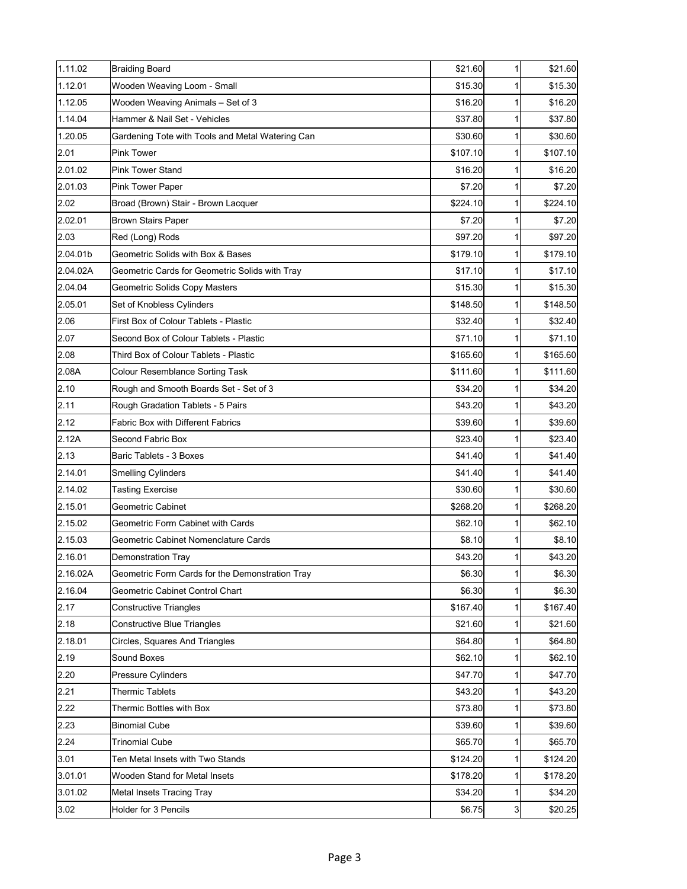| 1.11.02  | <b>Braiding Board</b>                            | \$21.60  | 1            | \$21.60  |
|----------|--------------------------------------------------|----------|--------------|----------|
| 1.12.01  | Wooden Weaving Loom - Small                      | \$15.30  | 1            | \$15.30  |
| 1.12.05  | Wooden Weaving Animals - Set of 3                | \$16.20  | 1            | \$16.20  |
| 1.14.04  | Hammer & Nail Set - Vehicles                     | \$37.80  | 1            | \$37.80  |
| 1.20.05  | Gardening Tote with Tools and Metal Watering Can | \$30.60  | 1            | \$30.60  |
| 2.01     | Pink Tower                                       | \$107.10 | 1            | \$107.10 |
| 2.01.02  | <b>Pink Tower Stand</b>                          | \$16.20  | 1            | \$16.20  |
| 2.01.03  | Pink Tower Paper                                 | \$7.20   | 1            | \$7.20   |
| 2.02     | Broad (Brown) Stair - Brown Lacquer              | \$224.10 | 1            | \$224.10 |
| 2.02.01  | Brown Stairs Paper                               | \$7.20   | 1            | \$7.20   |
| 2.03     | Red (Long) Rods                                  | \$97.20  | 1            | \$97.20  |
| 2.04.01b | Geometric Solids with Box & Bases                | \$179.10 | 1            | \$179.10 |
| 2.04.02A | Geometric Cards for Geometric Solids with Tray   | \$17.10  | 1            | \$17.10  |
| 2.04.04  | Geometric Solids Copy Masters                    | \$15.30  | 1            | \$15.30  |
| 2.05.01  | Set of Knobless Cylinders                        | \$148.50 | 1            | \$148.50 |
| 2.06     | First Box of Colour Tablets - Plastic            | \$32.40  | 1            | \$32.40  |
| 2.07     | Second Box of Colour Tablets - Plastic           | \$71.10  | 1            | \$71.10  |
| 2.08     | Third Box of Colour Tablets - Plastic            | \$165.60 | 1            | \$165.60 |
| 2.08A    | <b>Colour Resemblance Sorting Task</b>           | \$111.60 | 1            | \$111.60 |
| 2.10     | Rough and Smooth Boards Set - Set of 3           | \$34.20  | 1            | \$34.20  |
| 2.11     | Rough Gradation Tablets - 5 Pairs                | \$43.20  | 1            | \$43.20  |
| 2.12     | <b>Fabric Box with Different Fabrics</b>         | \$39.60  | 1            | \$39.60  |
| 2.12A    | Second Fabric Box                                | \$23.40  | 1            | \$23.40  |
| 2.13     | Baric Tablets - 3 Boxes                          | \$41.40  | 1            | \$41.40  |
| 2.14.01  | <b>Smelling Cylinders</b>                        | \$41.40  | 1            | \$41.40  |
| 2.14.02  | <b>Tasting Exercise</b>                          | \$30.60  | 1            | \$30.60  |
| 2.15.01  | <b>Geometric Cabinet</b>                         | \$268.20 | 1            | \$268.20 |
| 2.15.02  | Geometric Form Cabinet with Cards                | \$62.10  | 1            | \$62.10  |
| 2.15.03  | Geometric Cabinet Nomenclature Cards             | \$8.10   | 1            | \$8.10   |
| 2.16.01  | Demonstration Tray                               | \$43.20  | $\mathbf{1}$ | \$43.20  |
| 2.16.02A | Geometric Form Cards for the Demonstration Tray  | \$6.30   | 1            | \$6.30   |
| 2.16.04  | Geometric Cabinet Control Chart                  | \$6.30   | 1            | \$6.30   |
| 2.17     | <b>Constructive Triangles</b>                    | \$167.40 | 1            | \$167.40 |
| 2.18     | <b>Constructive Blue Triangles</b>               | \$21.60  | 1            | \$21.60  |
| 2.18.01  | Circles, Squares And Triangles                   | \$64.80  | 1            | \$64.80  |
| 2.19     | Sound Boxes                                      | \$62.10  | 1            | \$62.10  |
| 2.20     | Pressure Cylinders                               | \$47.70  | 1            | \$47.70  |
| 2.21     | <b>Thermic Tablets</b>                           | \$43.20  | 1            | \$43.20  |
| 2.22     | Thermic Bottles with Box                         | \$73.80  | 1            | \$73.80  |
| 2.23     | <b>Binomial Cube</b>                             | \$39.60  | 1            | \$39.60  |
| 2.24     | <b>Trinomial Cube</b>                            | \$65.70  | 1            | \$65.70  |
| 3.01     | Ten Metal Insets with Two Stands                 | \$124.20 | 1            | \$124.20 |
| 3.01.01  | Wooden Stand for Metal Insets                    | \$178.20 | 1            | \$178.20 |
| 3.01.02  | Metal Insets Tracing Tray                        | \$34.20  | 1            | \$34.20  |
| 3.02     | Holder for 3 Pencils                             | \$6.75   | 3            | \$20.25  |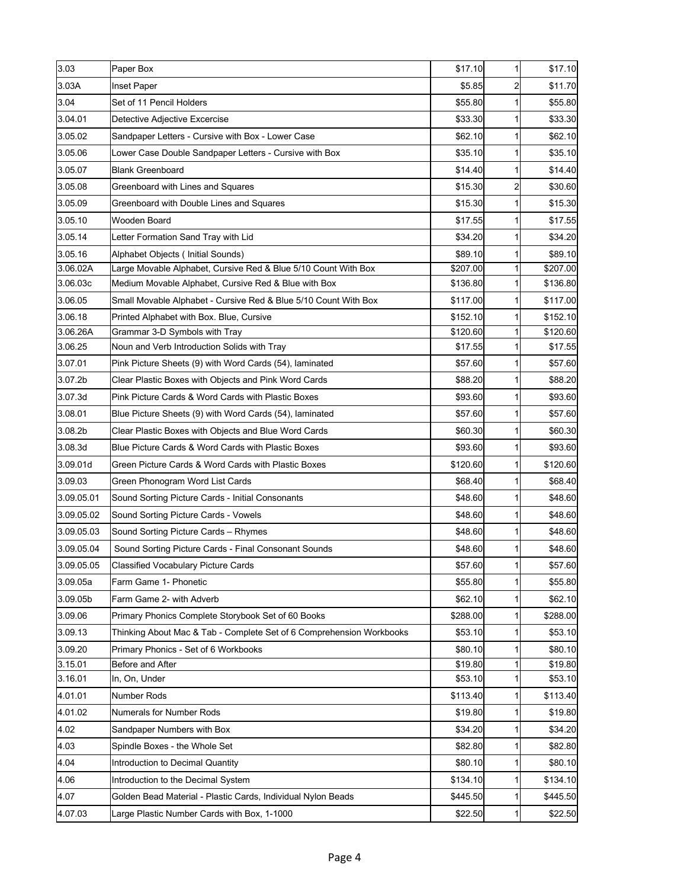| $\overline{2}$<br>\$5.85<br>\$11.70<br>Inset Paper<br>Set of 11 Pencil Holders<br>\$55.80<br>\$55.80<br>1<br>\$33.30<br>1<br>\$33.30<br>Detective Adjective Excercise<br>Sandpaper Letters - Cursive with Box - Lower Case<br>\$62.10<br>\$62.10<br>1<br>\$35.10<br>1<br>\$35.10<br>Lower Case Double Sandpaper Letters - Cursive with Box<br>\$14.40<br><b>Blank Greenboard</b><br>\$14.40<br>1<br>$\overline{2}$<br>\$15.30<br>\$30.60<br>Greenboard with Lines and Squares<br>Greenboard with Double Lines and Squares<br>\$15.30<br>1<br>\$15.30<br>\$17.55<br>\$17.55<br>Wooden Board<br>1<br>3.05.14<br>\$34.20<br>\$34.20<br>Letter Formation Sand Tray with Lid<br>1<br>Alphabet Objects ( Initial Sounds)<br>\$89.10<br>1<br>\$89.10<br>Large Movable Alphabet, Cursive Red & Blue 5/10 Count With Box<br>\$207.00<br>\$207.00<br>1<br>3.06.03c<br>Medium Movable Alphabet, Cursive Red & Blue with Box<br>\$136.80<br>\$136.80<br>1<br>Small Movable Alphabet - Cursive Red & Blue 5/10 Count With Box<br>\$117.00<br>\$117.00<br>1<br>3.06.18<br>\$152.10<br>Printed Alphabet with Box. Blue, Cursive<br>\$152.10<br>3.06.26A<br>\$120.60<br>Grammar 3-D Symbols with Tray<br>\$120.60<br>1<br>Noun and Verb Introduction Solids with Tray<br>\$17.55<br>1<br>\$17.55<br>\$57.60<br>\$57.60<br>Pink Picture Sheets (9) with Word Cards (54), laminated<br>\$88.20<br>Clear Plastic Boxes with Objects and Pink Word Cards<br>\$88.20<br>1<br>Pink Picture Cards & Word Cards with Plastic Boxes<br>\$93.60<br>\$93.60<br>\$57.60<br>\$57.60<br>Blue Picture Sheets (9) with Word Cards (54), laminated<br>1<br>\$60.30<br>\$60.30<br>Clear Plastic Boxes with Objects and Blue Word Cards<br>\$93.60<br>\$93.60<br>Blue Picture Cards & Word Cards with Plastic Boxes<br>1<br>3.09.01d<br>Green Picture Cards & Word Cards with Plastic Boxes<br>\$120.60<br>\$120.60<br>Green Phonogram Word List Cards<br>\$68.40<br>\$68.40<br>1<br>3.09.05.01<br>\$48.60<br>\$48.60<br>Sound Sorting Picture Cards - Initial Consonants<br>\$48.60<br>\$48.60<br>Sound Sorting Picture Cards - Vowels<br>1<br>\$48.60<br>\$48.60<br>Sound Sorting Picture Cards - Rhymes<br>\$48.60<br>Sound Sorting Picture Cards - Final Consonant Sounds<br>\$48.60<br>1<br><b>Classified Vocabulary Picture Cards</b><br>\$57.60<br>\$57.60<br>Farm Game 1- Phonetic<br>\$55.80<br>\$55.80<br>1<br>Farm Game 2- with Adverb<br>\$62.10<br>\$62.10<br>\$288.00<br>\$288.00<br>Primary Phonics Complete Storybook Set of 60 Books<br>Thinking About Mac & Tab - Complete Set of 6 Comprehension Workbooks<br>\$53.10<br>\$53.10<br>\$80.10<br>\$80.10<br>Primary Phonics - Set of 6 Workbooks<br>1<br>Before and After<br>\$19.80<br>\$19.80<br>1<br>In, On, Under<br>\$53.10<br>\$53.10<br>1<br>\$113.40<br>\$113.40<br>Number Rods<br>1<br>Numerals for Number Rods<br>\$19.80<br>\$19.80<br>1<br>Sandpaper Numbers with Box<br>\$34.20<br>\$34.20<br>1<br>Spindle Boxes - the Whole Set<br>\$82.80<br>\$82.80<br>1<br>Introduction to Decimal Quantity<br>\$80.10<br>\$80.10<br>1<br>\$134.10<br>\$134.10<br>Introduction to the Decimal System<br>1<br>Golden Bead Material - Plastic Cards, Individual Nylon Beads<br>\$445.50<br>\$445.50<br>1 | 3.03       | Paper Box | \$17.10 | 1 | \$17.10 |
|---------------------------------------------------------------------------------------------------------------------------------------------------------------------------------------------------------------------------------------------------------------------------------------------------------------------------------------------------------------------------------------------------------------------------------------------------------------------------------------------------------------------------------------------------------------------------------------------------------------------------------------------------------------------------------------------------------------------------------------------------------------------------------------------------------------------------------------------------------------------------------------------------------------------------------------------------------------------------------------------------------------------------------------------------------------------------------------------------------------------------------------------------------------------------------------------------------------------------------------------------------------------------------------------------------------------------------------------------------------------------------------------------------------------------------------------------------------------------------------------------------------------------------------------------------------------------------------------------------------------------------------------------------------------------------------------------------------------------------------------------------------------------------------------------------------------------------------------------------------------------------------------------------------------------------------------------------------------------------------------------------------------------------------------------------------------------------------------------------------------------------------------------------------------------------------------------------------------------------------------------------------------------------------------------------------------------------------------------------------------------------------------------------------------------------------------------------------------------------------------------------------------------------------------------------------------------------------------------------------------------------------------------------------------------------------------------------------------------------------------------------------------------------------------------------------------------------------------------------------------------------------------------------------------------------------------------------------------------------------------------------------------------------------------------------------------------------------------------------------------------------------------------------------------------------------------------------------------------------------|------------|-----------|---------|---|---------|
|                                                                                                                                                                                                                                                                                                                                                                                                                                                                                                                                                                                                                                                                                                                                                                                                                                                                                                                                                                                                                                                                                                                                                                                                                                                                                                                                                                                                                                                                                                                                                                                                                                                                                                                                                                                                                                                                                                                                                                                                                                                                                                                                                                                                                                                                                                                                                                                                                                                                                                                                                                                                                                                                                                                                                                                                                                                                                                                                                                                                                                                                                                                                                                                                                                       | 3.03A      |           |         |   |         |
|                                                                                                                                                                                                                                                                                                                                                                                                                                                                                                                                                                                                                                                                                                                                                                                                                                                                                                                                                                                                                                                                                                                                                                                                                                                                                                                                                                                                                                                                                                                                                                                                                                                                                                                                                                                                                                                                                                                                                                                                                                                                                                                                                                                                                                                                                                                                                                                                                                                                                                                                                                                                                                                                                                                                                                                                                                                                                                                                                                                                                                                                                                                                                                                                                                       | 3.04       |           |         |   |         |
|                                                                                                                                                                                                                                                                                                                                                                                                                                                                                                                                                                                                                                                                                                                                                                                                                                                                                                                                                                                                                                                                                                                                                                                                                                                                                                                                                                                                                                                                                                                                                                                                                                                                                                                                                                                                                                                                                                                                                                                                                                                                                                                                                                                                                                                                                                                                                                                                                                                                                                                                                                                                                                                                                                                                                                                                                                                                                                                                                                                                                                                                                                                                                                                                                                       | 3.04.01    |           |         |   |         |
|                                                                                                                                                                                                                                                                                                                                                                                                                                                                                                                                                                                                                                                                                                                                                                                                                                                                                                                                                                                                                                                                                                                                                                                                                                                                                                                                                                                                                                                                                                                                                                                                                                                                                                                                                                                                                                                                                                                                                                                                                                                                                                                                                                                                                                                                                                                                                                                                                                                                                                                                                                                                                                                                                                                                                                                                                                                                                                                                                                                                                                                                                                                                                                                                                                       | 3.05.02    |           |         |   |         |
|                                                                                                                                                                                                                                                                                                                                                                                                                                                                                                                                                                                                                                                                                                                                                                                                                                                                                                                                                                                                                                                                                                                                                                                                                                                                                                                                                                                                                                                                                                                                                                                                                                                                                                                                                                                                                                                                                                                                                                                                                                                                                                                                                                                                                                                                                                                                                                                                                                                                                                                                                                                                                                                                                                                                                                                                                                                                                                                                                                                                                                                                                                                                                                                                                                       | 3.05.06    |           |         |   |         |
|                                                                                                                                                                                                                                                                                                                                                                                                                                                                                                                                                                                                                                                                                                                                                                                                                                                                                                                                                                                                                                                                                                                                                                                                                                                                                                                                                                                                                                                                                                                                                                                                                                                                                                                                                                                                                                                                                                                                                                                                                                                                                                                                                                                                                                                                                                                                                                                                                                                                                                                                                                                                                                                                                                                                                                                                                                                                                                                                                                                                                                                                                                                                                                                                                                       | 3.05.07    |           |         |   |         |
|                                                                                                                                                                                                                                                                                                                                                                                                                                                                                                                                                                                                                                                                                                                                                                                                                                                                                                                                                                                                                                                                                                                                                                                                                                                                                                                                                                                                                                                                                                                                                                                                                                                                                                                                                                                                                                                                                                                                                                                                                                                                                                                                                                                                                                                                                                                                                                                                                                                                                                                                                                                                                                                                                                                                                                                                                                                                                                                                                                                                                                                                                                                                                                                                                                       | 3.05.08    |           |         |   |         |
|                                                                                                                                                                                                                                                                                                                                                                                                                                                                                                                                                                                                                                                                                                                                                                                                                                                                                                                                                                                                                                                                                                                                                                                                                                                                                                                                                                                                                                                                                                                                                                                                                                                                                                                                                                                                                                                                                                                                                                                                                                                                                                                                                                                                                                                                                                                                                                                                                                                                                                                                                                                                                                                                                                                                                                                                                                                                                                                                                                                                                                                                                                                                                                                                                                       | 3.05.09    |           |         |   |         |
|                                                                                                                                                                                                                                                                                                                                                                                                                                                                                                                                                                                                                                                                                                                                                                                                                                                                                                                                                                                                                                                                                                                                                                                                                                                                                                                                                                                                                                                                                                                                                                                                                                                                                                                                                                                                                                                                                                                                                                                                                                                                                                                                                                                                                                                                                                                                                                                                                                                                                                                                                                                                                                                                                                                                                                                                                                                                                                                                                                                                                                                                                                                                                                                                                                       | 3.05.10    |           |         |   |         |
|                                                                                                                                                                                                                                                                                                                                                                                                                                                                                                                                                                                                                                                                                                                                                                                                                                                                                                                                                                                                                                                                                                                                                                                                                                                                                                                                                                                                                                                                                                                                                                                                                                                                                                                                                                                                                                                                                                                                                                                                                                                                                                                                                                                                                                                                                                                                                                                                                                                                                                                                                                                                                                                                                                                                                                                                                                                                                                                                                                                                                                                                                                                                                                                                                                       |            |           |         |   |         |
|                                                                                                                                                                                                                                                                                                                                                                                                                                                                                                                                                                                                                                                                                                                                                                                                                                                                                                                                                                                                                                                                                                                                                                                                                                                                                                                                                                                                                                                                                                                                                                                                                                                                                                                                                                                                                                                                                                                                                                                                                                                                                                                                                                                                                                                                                                                                                                                                                                                                                                                                                                                                                                                                                                                                                                                                                                                                                                                                                                                                                                                                                                                                                                                                                                       | 3.05.16    |           |         |   |         |
|                                                                                                                                                                                                                                                                                                                                                                                                                                                                                                                                                                                                                                                                                                                                                                                                                                                                                                                                                                                                                                                                                                                                                                                                                                                                                                                                                                                                                                                                                                                                                                                                                                                                                                                                                                                                                                                                                                                                                                                                                                                                                                                                                                                                                                                                                                                                                                                                                                                                                                                                                                                                                                                                                                                                                                                                                                                                                                                                                                                                                                                                                                                                                                                                                                       | 3.06.02A   |           |         |   |         |
|                                                                                                                                                                                                                                                                                                                                                                                                                                                                                                                                                                                                                                                                                                                                                                                                                                                                                                                                                                                                                                                                                                                                                                                                                                                                                                                                                                                                                                                                                                                                                                                                                                                                                                                                                                                                                                                                                                                                                                                                                                                                                                                                                                                                                                                                                                                                                                                                                                                                                                                                                                                                                                                                                                                                                                                                                                                                                                                                                                                                                                                                                                                                                                                                                                       |            |           |         |   |         |
|                                                                                                                                                                                                                                                                                                                                                                                                                                                                                                                                                                                                                                                                                                                                                                                                                                                                                                                                                                                                                                                                                                                                                                                                                                                                                                                                                                                                                                                                                                                                                                                                                                                                                                                                                                                                                                                                                                                                                                                                                                                                                                                                                                                                                                                                                                                                                                                                                                                                                                                                                                                                                                                                                                                                                                                                                                                                                                                                                                                                                                                                                                                                                                                                                                       | 3.06.05    |           |         |   |         |
|                                                                                                                                                                                                                                                                                                                                                                                                                                                                                                                                                                                                                                                                                                                                                                                                                                                                                                                                                                                                                                                                                                                                                                                                                                                                                                                                                                                                                                                                                                                                                                                                                                                                                                                                                                                                                                                                                                                                                                                                                                                                                                                                                                                                                                                                                                                                                                                                                                                                                                                                                                                                                                                                                                                                                                                                                                                                                                                                                                                                                                                                                                                                                                                                                                       |            |           |         |   |         |
|                                                                                                                                                                                                                                                                                                                                                                                                                                                                                                                                                                                                                                                                                                                                                                                                                                                                                                                                                                                                                                                                                                                                                                                                                                                                                                                                                                                                                                                                                                                                                                                                                                                                                                                                                                                                                                                                                                                                                                                                                                                                                                                                                                                                                                                                                                                                                                                                                                                                                                                                                                                                                                                                                                                                                                                                                                                                                                                                                                                                                                                                                                                                                                                                                                       |            |           |         |   |         |
|                                                                                                                                                                                                                                                                                                                                                                                                                                                                                                                                                                                                                                                                                                                                                                                                                                                                                                                                                                                                                                                                                                                                                                                                                                                                                                                                                                                                                                                                                                                                                                                                                                                                                                                                                                                                                                                                                                                                                                                                                                                                                                                                                                                                                                                                                                                                                                                                                                                                                                                                                                                                                                                                                                                                                                                                                                                                                                                                                                                                                                                                                                                                                                                                                                       | 3.06.25    |           |         |   |         |
|                                                                                                                                                                                                                                                                                                                                                                                                                                                                                                                                                                                                                                                                                                                                                                                                                                                                                                                                                                                                                                                                                                                                                                                                                                                                                                                                                                                                                                                                                                                                                                                                                                                                                                                                                                                                                                                                                                                                                                                                                                                                                                                                                                                                                                                                                                                                                                                                                                                                                                                                                                                                                                                                                                                                                                                                                                                                                                                                                                                                                                                                                                                                                                                                                                       | 3.07.01    |           |         |   |         |
|                                                                                                                                                                                                                                                                                                                                                                                                                                                                                                                                                                                                                                                                                                                                                                                                                                                                                                                                                                                                                                                                                                                                                                                                                                                                                                                                                                                                                                                                                                                                                                                                                                                                                                                                                                                                                                                                                                                                                                                                                                                                                                                                                                                                                                                                                                                                                                                                                                                                                                                                                                                                                                                                                                                                                                                                                                                                                                                                                                                                                                                                                                                                                                                                                                       | 3.07.2b    |           |         |   |         |
|                                                                                                                                                                                                                                                                                                                                                                                                                                                                                                                                                                                                                                                                                                                                                                                                                                                                                                                                                                                                                                                                                                                                                                                                                                                                                                                                                                                                                                                                                                                                                                                                                                                                                                                                                                                                                                                                                                                                                                                                                                                                                                                                                                                                                                                                                                                                                                                                                                                                                                                                                                                                                                                                                                                                                                                                                                                                                                                                                                                                                                                                                                                                                                                                                                       | 3.07.3d    |           |         |   |         |
|                                                                                                                                                                                                                                                                                                                                                                                                                                                                                                                                                                                                                                                                                                                                                                                                                                                                                                                                                                                                                                                                                                                                                                                                                                                                                                                                                                                                                                                                                                                                                                                                                                                                                                                                                                                                                                                                                                                                                                                                                                                                                                                                                                                                                                                                                                                                                                                                                                                                                                                                                                                                                                                                                                                                                                                                                                                                                                                                                                                                                                                                                                                                                                                                                                       | 3.08.01    |           |         |   |         |
|                                                                                                                                                                                                                                                                                                                                                                                                                                                                                                                                                                                                                                                                                                                                                                                                                                                                                                                                                                                                                                                                                                                                                                                                                                                                                                                                                                                                                                                                                                                                                                                                                                                                                                                                                                                                                                                                                                                                                                                                                                                                                                                                                                                                                                                                                                                                                                                                                                                                                                                                                                                                                                                                                                                                                                                                                                                                                                                                                                                                                                                                                                                                                                                                                                       | 3.08.2b    |           |         |   |         |
|                                                                                                                                                                                                                                                                                                                                                                                                                                                                                                                                                                                                                                                                                                                                                                                                                                                                                                                                                                                                                                                                                                                                                                                                                                                                                                                                                                                                                                                                                                                                                                                                                                                                                                                                                                                                                                                                                                                                                                                                                                                                                                                                                                                                                                                                                                                                                                                                                                                                                                                                                                                                                                                                                                                                                                                                                                                                                                                                                                                                                                                                                                                                                                                                                                       | 3.08.3d    |           |         |   |         |
|                                                                                                                                                                                                                                                                                                                                                                                                                                                                                                                                                                                                                                                                                                                                                                                                                                                                                                                                                                                                                                                                                                                                                                                                                                                                                                                                                                                                                                                                                                                                                                                                                                                                                                                                                                                                                                                                                                                                                                                                                                                                                                                                                                                                                                                                                                                                                                                                                                                                                                                                                                                                                                                                                                                                                                                                                                                                                                                                                                                                                                                                                                                                                                                                                                       |            |           |         |   |         |
|                                                                                                                                                                                                                                                                                                                                                                                                                                                                                                                                                                                                                                                                                                                                                                                                                                                                                                                                                                                                                                                                                                                                                                                                                                                                                                                                                                                                                                                                                                                                                                                                                                                                                                                                                                                                                                                                                                                                                                                                                                                                                                                                                                                                                                                                                                                                                                                                                                                                                                                                                                                                                                                                                                                                                                                                                                                                                                                                                                                                                                                                                                                                                                                                                                       | 3.09.03    |           |         |   |         |
|                                                                                                                                                                                                                                                                                                                                                                                                                                                                                                                                                                                                                                                                                                                                                                                                                                                                                                                                                                                                                                                                                                                                                                                                                                                                                                                                                                                                                                                                                                                                                                                                                                                                                                                                                                                                                                                                                                                                                                                                                                                                                                                                                                                                                                                                                                                                                                                                                                                                                                                                                                                                                                                                                                                                                                                                                                                                                                                                                                                                                                                                                                                                                                                                                                       |            |           |         |   |         |
|                                                                                                                                                                                                                                                                                                                                                                                                                                                                                                                                                                                                                                                                                                                                                                                                                                                                                                                                                                                                                                                                                                                                                                                                                                                                                                                                                                                                                                                                                                                                                                                                                                                                                                                                                                                                                                                                                                                                                                                                                                                                                                                                                                                                                                                                                                                                                                                                                                                                                                                                                                                                                                                                                                                                                                                                                                                                                                                                                                                                                                                                                                                                                                                                                                       | 3.09.05.02 |           |         |   |         |
|                                                                                                                                                                                                                                                                                                                                                                                                                                                                                                                                                                                                                                                                                                                                                                                                                                                                                                                                                                                                                                                                                                                                                                                                                                                                                                                                                                                                                                                                                                                                                                                                                                                                                                                                                                                                                                                                                                                                                                                                                                                                                                                                                                                                                                                                                                                                                                                                                                                                                                                                                                                                                                                                                                                                                                                                                                                                                                                                                                                                                                                                                                                                                                                                                                       | 3.09.05.03 |           |         |   |         |
|                                                                                                                                                                                                                                                                                                                                                                                                                                                                                                                                                                                                                                                                                                                                                                                                                                                                                                                                                                                                                                                                                                                                                                                                                                                                                                                                                                                                                                                                                                                                                                                                                                                                                                                                                                                                                                                                                                                                                                                                                                                                                                                                                                                                                                                                                                                                                                                                                                                                                                                                                                                                                                                                                                                                                                                                                                                                                                                                                                                                                                                                                                                                                                                                                                       | 3.09.05.04 |           |         |   |         |
|                                                                                                                                                                                                                                                                                                                                                                                                                                                                                                                                                                                                                                                                                                                                                                                                                                                                                                                                                                                                                                                                                                                                                                                                                                                                                                                                                                                                                                                                                                                                                                                                                                                                                                                                                                                                                                                                                                                                                                                                                                                                                                                                                                                                                                                                                                                                                                                                                                                                                                                                                                                                                                                                                                                                                                                                                                                                                                                                                                                                                                                                                                                                                                                                                                       | 3.09.05.05 |           |         |   |         |
|                                                                                                                                                                                                                                                                                                                                                                                                                                                                                                                                                                                                                                                                                                                                                                                                                                                                                                                                                                                                                                                                                                                                                                                                                                                                                                                                                                                                                                                                                                                                                                                                                                                                                                                                                                                                                                                                                                                                                                                                                                                                                                                                                                                                                                                                                                                                                                                                                                                                                                                                                                                                                                                                                                                                                                                                                                                                                                                                                                                                                                                                                                                                                                                                                                       | 3.09.05a   |           |         |   |         |
|                                                                                                                                                                                                                                                                                                                                                                                                                                                                                                                                                                                                                                                                                                                                                                                                                                                                                                                                                                                                                                                                                                                                                                                                                                                                                                                                                                                                                                                                                                                                                                                                                                                                                                                                                                                                                                                                                                                                                                                                                                                                                                                                                                                                                                                                                                                                                                                                                                                                                                                                                                                                                                                                                                                                                                                                                                                                                                                                                                                                                                                                                                                                                                                                                                       | 3.09.05b   |           |         |   |         |
|                                                                                                                                                                                                                                                                                                                                                                                                                                                                                                                                                                                                                                                                                                                                                                                                                                                                                                                                                                                                                                                                                                                                                                                                                                                                                                                                                                                                                                                                                                                                                                                                                                                                                                                                                                                                                                                                                                                                                                                                                                                                                                                                                                                                                                                                                                                                                                                                                                                                                                                                                                                                                                                                                                                                                                                                                                                                                                                                                                                                                                                                                                                                                                                                                                       | 3.09.06    |           |         |   |         |
|                                                                                                                                                                                                                                                                                                                                                                                                                                                                                                                                                                                                                                                                                                                                                                                                                                                                                                                                                                                                                                                                                                                                                                                                                                                                                                                                                                                                                                                                                                                                                                                                                                                                                                                                                                                                                                                                                                                                                                                                                                                                                                                                                                                                                                                                                                                                                                                                                                                                                                                                                                                                                                                                                                                                                                                                                                                                                                                                                                                                                                                                                                                                                                                                                                       | 3.09.13    |           |         |   |         |
|                                                                                                                                                                                                                                                                                                                                                                                                                                                                                                                                                                                                                                                                                                                                                                                                                                                                                                                                                                                                                                                                                                                                                                                                                                                                                                                                                                                                                                                                                                                                                                                                                                                                                                                                                                                                                                                                                                                                                                                                                                                                                                                                                                                                                                                                                                                                                                                                                                                                                                                                                                                                                                                                                                                                                                                                                                                                                                                                                                                                                                                                                                                                                                                                                                       | 3.09.20    |           |         |   |         |
|                                                                                                                                                                                                                                                                                                                                                                                                                                                                                                                                                                                                                                                                                                                                                                                                                                                                                                                                                                                                                                                                                                                                                                                                                                                                                                                                                                                                                                                                                                                                                                                                                                                                                                                                                                                                                                                                                                                                                                                                                                                                                                                                                                                                                                                                                                                                                                                                                                                                                                                                                                                                                                                                                                                                                                                                                                                                                                                                                                                                                                                                                                                                                                                                                                       | 3.15.01    |           |         |   |         |
|                                                                                                                                                                                                                                                                                                                                                                                                                                                                                                                                                                                                                                                                                                                                                                                                                                                                                                                                                                                                                                                                                                                                                                                                                                                                                                                                                                                                                                                                                                                                                                                                                                                                                                                                                                                                                                                                                                                                                                                                                                                                                                                                                                                                                                                                                                                                                                                                                                                                                                                                                                                                                                                                                                                                                                                                                                                                                                                                                                                                                                                                                                                                                                                                                                       | 3.16.01    |           |         |   |         |
|                                                                                                                                                                                                                                                                                                                                                                                                                                                                                                                                                                                                                                                                                                                                                                                                                                                                                                                                                                                                                                                                                                                                                                                                                                                                                                                                                                                                                                                                                                                                                                                                                                                                                                                                                                                                                                                                                                                                                                                                                                                                                                                                                                                                                                                                                                                                                                                                                                                                                                                                                                                                                                                                                                                                                                                                                                                                                                                                                                                                                                                                                                                                                                                                                                       | 4.01.01    |           |         |   |         |
|                                                                                                                                                                                                                                                                                                                                                                                                                                                                                                                                                                                                                                                                                                                                                                                                                                                                                                                                                                                                                                                                                                                                                                                                                                                                                                                                                                                                                                                                                                                                                                                                                                                                                                                                                                                                                                                                                                                                                                                                                                                                                                                                                                                                                                                                                                                                                                                                                                                                                                                                                                                                                                                                                                                                                                                                                                                                                                                                                                                                                                                                                                                                                                                                                                       | 4.01.02    |           |         |   |         |
|                                                                                                                                                                                                                                                                                                                                                                                                                                                                                                                                                                                                                                                                                                                                                                                                                                                                                                                                                                                                                                                                                                                                                                                                                                                                                                                                                                                                                                                                                                                                                                                                                                                                                                                                                                                                                                                                                                                                                                                                                                                                                                                                                                                                                                                                                                                                                                                                                                                                                                                                                                                                                                                                                                                                                                                                                                                                                                                                                                                                                                                                                                                                                                                                                                       | 4.02       |           |         |   |         |
|                                                                                                                                                                                                                                                                                                                                                                                                                                                                                                                                                                                                                                                                                                                                                                                                                                                                                                                                                                                                                                                                                                                                                                                                                                                                                                                                                                                                                                                                                                                                                                                                                                                                                                                                                                                                                                                                                                                                                                                                                                                                                                                                                                                                                                                                                                                                                                                                                                                                                                                                                                                                                                                                                                                                                                                                                                                                                                                                                                                                                                                                                                                                                                                                                                       | 4.03       |           |         |   |         |
|                                                                                                                                                                                                                                                                                                                                                                                                                                                                                                                                                                                                                                                                                                                                                                                                                                                                                                                                                                                                                                                                                                                                                                                                                                                                                                                                                                                                                                                                                                                                                                                                                                                                                                                                                                                                                                                                                                                                                                                                                                                                                                                                                                                                                                                                                                                                                                                                                                                                                                                                                                                                                                                                                                                                                                                                                                                                                                                                                                                                                                                                                                                                                                                                                                       | 4.04       |           |         |   |         |
|                                                                                                                                                                                                                                                                                                                                                                                                                                                                                                                                                                                                                                                                                                                                                                                                                                                                                                                                                                                                                                                                                                                                                                                                                                                                                                                                                                                                                                                                                                                                                                                                                                                                                                                                                                                                                                                                                                                                                                                                                                                                                                                                                                                                                                                                                                                                                                                                                                                                                                                                                                                                                                                                                                                                                                                                                                                                                                                                                                                                                                                                                                                                                                                                                                       | 4.06       |           |         |   |         |
|                                                                                                                                                                                                                                                                                                                                                                                                                                                                                                                                                                                                                                                                                                                                                                                                                                                                                                                                                                                                                                                                                                                                                                                                                                                                                                                                                                                                                                                                                                                                                                                                                                                                                                                                                                                                                                                                                                                                                                                                                                                                                                                                                                                                                                                                                                                                                                                                                                                                                                                                                                                                                                                                                                                                                                                                                                                                                                                                                                                                                                                                                                                                                                                                                                       | 4.07       |           |         |   |         |
| Large Plastic Number Cards with Box, 1-1000<br>\$22.50<br>\$22.50<br>1                                                                                                                                                                                                                                                                                                                                                                                                                                                                                                                                                                                                                                                                                                                                                                                                                                                                                                                                                                                                                                                                                                                                                                                                                                                                                                                                                                                                                                                                                                                                                                                                                                                                                                                                                                                                                                                                                                                                                                                                                                                                                                                                                                                                                                                                                                                                                                                                                                                                                                                                                                                                                                                                                                                                                                                                                                                                                                                                                                                                                                                                                                                                                                | 4.07.03    |           |         |   |         |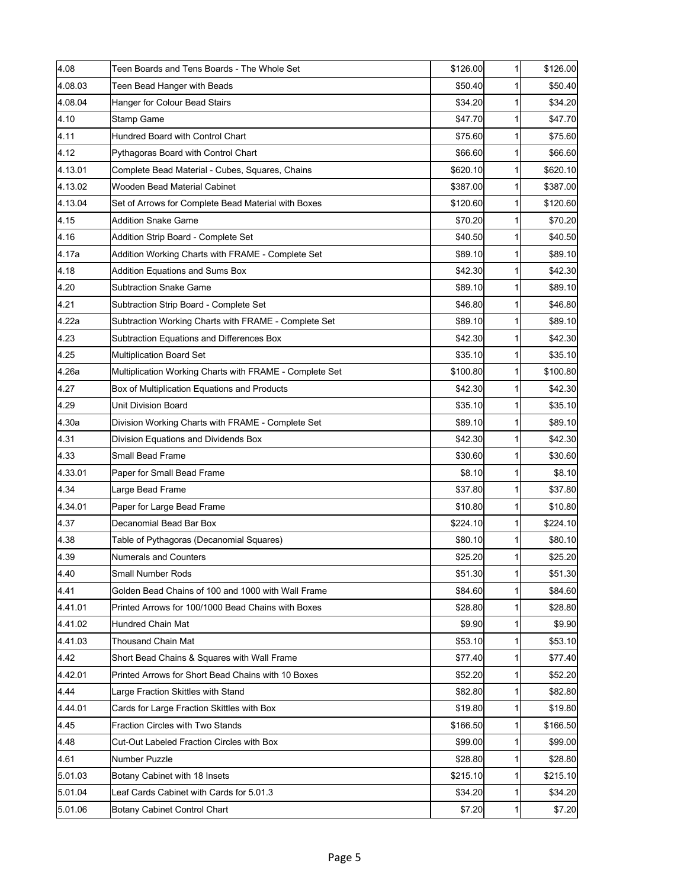| 4.08    | Teen Boards and Tens Boards - The Whole Set             | \$126.00 | 1            | \$126.00 |
|---------|---------------------------------------------------------|----------|--------------|----------|
| 4.08.03 | Teen Bead Hanger with Beads                             | \$50.40  | 1            | \$50.40  |
| 4.08.04 | Hanger for Colour Bead Stairs                           | \$34.20  | 1            | \$34.20  |
| 4.10    | <b>Stamp Game</b>                                       | \$47.70  | 1            | \$47.70  |
| 4.11    | Hundred Board with Control Chart                        | \$75.60  | 1            | \$75.60  |
| 4.12    | Pythagoras Board with Control Chart                     | \$66.60  | 1            | \$66.60  |
| 4.13.01 | Complete Bead Material - Cubes, Squares, Chains         | \$620.10 | 1            | \$620.10 |
| 4.13.02 | Wooden Bead Material Cabinet                            | \$387.00 | 1            | \$387.00 |
| 4.13.04 | Set of Arrows for Complete Bead Material with Boxes     | \$120.60 | 1            | \$120.60 |
| 4.15    | Addition Snake Game                                     | \$70.20  | 1            | \$70.20  |
| 4.16    | Addition Strip Board - Complete Set                     | \$40.50  | 1            | \$40.50  |
| l4.17a  | Addition Working Charts with FRAME - Complete Set       | \$89.10  | 1            | \$89.10  |
| 4.18    | <b>Addition Equations and Sums Box</b>                  | \$42.30  | 1            | \$42.30  |
| 4.20    | <b>Subtraction Snake Game</b>                           | \$89.10  | 1            | \$89.10  |
| 4.21    | Subtraction Strip Board - Complete Set                  | \$46.80  | 1            | \$46.80  |
| 4.22a   | Subtraction Working Charts with FRAME - Complete Set    | \$89.10  | 1            | \$89.10  |
| 4.23    | Subtraction Equations and Differences Box               | \$42.30  | 1            | \$42.30  |
| 4.25    | Multiplication Board Set                                | \$35.10  | 1            | \$35.10  |
| 4.26a   | Multiplication Working Charts with FRAME - Complete Set | \$100.80 | 1            | \$100.80 |
| 4.27    | Box of Multiplication Equations and Products            | \$42.30  | 1            | \$42.30  |
| 4.29    | Unit Division Board                                     | \$35.10  | 1            | \$35.10  |
| 4.30a   | Division Working Charts with FRAME - Complete Set       | \$89.10  | 1            | \$89.10  |
| 4.31    | Division Equations and Dividends Box                    | \$42.30  | 1            | \$42.30  |
| 4.33    | Small Bead Frame                                        | \$30.60  | 1            | \$30.60  |
| 4.33.01 | Paper for Small Bead Frame                              | \$8.10   | 1            | \$8.10   |
| 4.34    | Large Bead Frame                                        | \$37.80  | 1            | \$37.80  |
| 4.34.01 | Paper for Large Bead Frame                              | \$10.80  | 1            | \$10.80  |
| 4.37    | Decanomial Bead Bar Box                                 | \$224.10 | 1            | \$224.10 |
| 4.38    | Table of Pythagoras (Decanomial Squares)                | \$80.10  | 1            | \$80.10  |
| 4.39    | <b>Numerals and Counters</b>                            | \$25.20  | $\mathbf{1}$ | \$25.20  |
| 4.40    | Small Number Rods                                       | \$51.30  | 1            | \$51.30  |
| 4.41    | Golden Bead Chains of 100 and 1000 with Wall Frame      | \$84.60  | 1            | \$84.60  |
| 4.41.01 | Printed Arrows for 100/1000 Bead Chains with Boxes      | \$28.80  | 1            | \$28.80  |
| 4.41.02 | Hundred Chain Mat                                       | \$9.90   | 1            | \$9.90   |
| 4.41.03 | Thousand Chain Mat                                      | \$53.10  | 1            | \$53.10  |
| 4.42    | Short Bead Chains & Squares with Wall Frame             | \$77.40  | 1            | \$77.40  |
| 4.42.01 | Printed Arrows for Short Bead Chains with 10 Boxes      | \$52.20  | 1            | \$52.20  |
| 4.44    | Large Fraction Skittles with Stand                      | \$82.80  | 1            | \$82.80  |
| 4.44.01 | Cards for Large Fraction Skittles with Box              | \$19.80  | 1            | \$19.80  |
| 4.45    | Fraction Circles with Two Stands                        | \$166.50 | 1            | \$166.50 |
| 4.48    | Cut-Out Labeled Fraction Circles with Box               | \$99.00  | 1            | \$99.00  |
| 4.61    | Number Puzzle                                           | \$28.80  | 1            | \$28.80  |
| 5.01.03 | Botany Cabinet with 18 Insets                           | \$215.10 | 1            | \$215.10 |
| 5.01.04 | Leaf Cards Cabinet with Cards for 5.01.3                | \$34.20  | 1            | \$34.20  |
| 5.01.06 | Botany Cabinet Control Chart                            | \$7.20   | $\mathbf{1}$ | \$7.20   |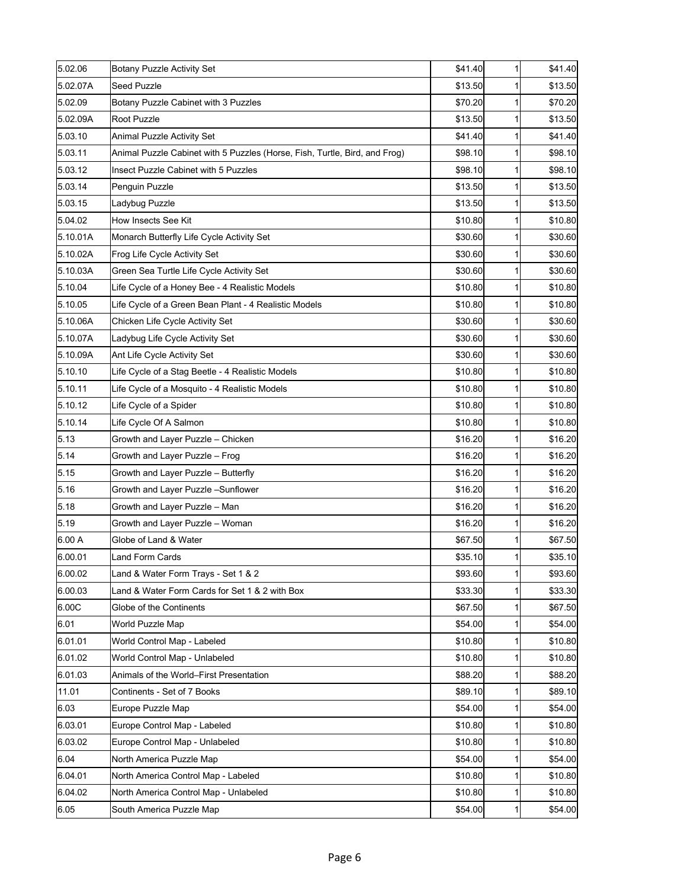| 5.02.06  | Botany Puzzle Activity Set                                                 | \$41.40 | 1 | \$41.40 |
|----------|----------------------------------------------------------------------------|---------|---|---------|
| 5.02.07A | Seed Puzzle                                                                | \$13.50 | 1 | \$13.50 |
| 5.02.09  | Botany Puzzle Cabinet with 3 Puzzles                                       | \$70.20 | 1 | \$70.20 |
| 5.02.09A | Root Puzzle                                                                | \$13.50 | 1 | \$13.50 |
| 5.03.10  | Animal Puzzle Activity Set                                                 | \$41.40 | 1 | \$41.40 |
| 5.03.11  | Animal Puzzle Cabinet with 5 Puzzles (Horse, Fish, Turtle, Bird, and Frog) | \$98.10 | 1 | \$98.10 |
| 5.03.12  | Insect Puzzle Cabinet with 5 Puzzles                                       | \$98.10 | 1 | \$98.10 |
| 5.03.14  | Penguin Puzzle                                                             | \$13.50 | 1 | \$13.50 |
| 5.03.15  | Ladybug Puzzle                                                             | \$13.50 | 1 | \$13.50 |
| 5.04.02  | How Insects See Kit                                                        | \$10.80 | 1 | \$10.80 |
| 5.10.01A | Monarch Butterfly Life Cycle Activity Set                                  | \$30.60 | 1 | \$30.60 |
| 5.10.02A | Frog Life Cycle Activity Set                                               | \$30.60 | 1 | \$30.60 |
| 5.10.03A | Green Sea Turtle Life Cycle Activity Set                                   | \$30.60 | 1 | \$30.60 |
| 5.10.04  | Life Cycle of a Honey Bee - 4 Realistic Models                             | \$10.80 | 1 | \$10.80 |
| 5.10.05  | Life Cycle of a Green Bean Plant - 4 Realistic Models                      | \$10.80 | 1 | \$10.80 |
| 5.10.06A | Chicken Life Cycle Activity Set                                            | \$30.60 | 1 | \$30.60 |
| 5.10.07A | Ladybug Life Cycle Activity Set                                            | \$30.60 | 1 | \$30.60 |
| 5.10.09A | Ant Life Cycle Activity Set                                                | \$30.60 | 1 | \$30.60 |
| 5.10.10  | Life Cycle of a Stag Beetle - 4 Realistic Models                           | \$10.80 | 1 | \$10.80 |
| 5.10.11  | Life Cycle of a Mosquito - 4 Realistic Models                              | \$10.80 | 1 | \$10.80 |
| 5.10.12  | Life Cycle of a Spider                                                     | \$10.80 | 1 | \$10.80 |
| 5.10.14  | Life Cycle Of A Salmon                                                     | \$10.80 | 1 | \$10.80 |
| 5.13     | Growth and Layer Puzzle - Chicken                                          | \$16.20 | 1 | \$16.20 |
| 5.14     | Growth and Layer Puzzle - Frog                                             | \$16.20 | 1 | \$16.20 |
| 5.15     | Growth and Layer Puzzle - Butterfly                                        | \$16.20 | 1 | \$16.20 |
| 5.16     | Growth and Layer Puzzle -Sunflower                                         | \$16.20 | 1 | \$16.20 |
| 5.18     | Growth and Layer Puzzle - Man                                              | \$16.20 | 1 | \$16.20 |
| 5.19     | Growth and Layer Puzzle - Woman                                            | \$16.20 | 1 | \$16.20 |
| 6.00 A   | Globe of Land & Water                                                      | \$67.50 | 1 | \$67.50 |
| 6.00.01  | Land Form Cards                                                            | \$35.10 | 1 | \$35.10 |
| 6.00.02  | Land & Water Form Trays - Set 1 & 2                                        | \$93.60 | 1 | \$93.60 |
| 6.00.03  | Land & Water Form Cards for Set 1 & 2 with Box                             | \$33.30 | 1 | \$33.30 |
| 6.00C    | Globe of the Continents                                                    | \$67.50 | 1 | \$67.50 |
| 6.01     | World Puzzle Map                                                           | \$54.00 | 1 | \$54.00 |
| 6.01.01  | World Control Map - Labeled                                                | \$10.80 | 1 | \$10.80 |
| 6.01.02  | World Control Map - Unlabeled                                              | \$10.80 | 1 | \$10.80 |
| 6.01.03  | Animals of the World–First Presentation                                    | \$88.20 | 1 | \$88.20 |
| 11.01    | Continents - Set of 7 Books                                                | \$89.10 | 1 | \$89.10 |
| 6.03     | Europe Puzzle Map                                                          | \$54.00 | 1 | \$54.00 |
| 6.03.01  | Europe Control Map - Labeled                                               | \$10.80 | 1 | \$10.80 |
| 6.03.02  | Europe Control Map - Unlabeled                                             | \$10.80 | 1 | \$10.80 |
| 6.04     | North America Puzzle Map                                                   | \$54.00 | 1 | \$54.00 |
| 6.04.01  | North America Control Map - Labeled                                        | \$10.80 | 1 | \$10.80 |
| 6.04.02  | North America Control Map - Unlabeled                                      | \$10.80 | 1 | \$10.80 |
| 6.05     | South America Puzzle Map                                                   | \$54.00 | 1 | \$54.00 |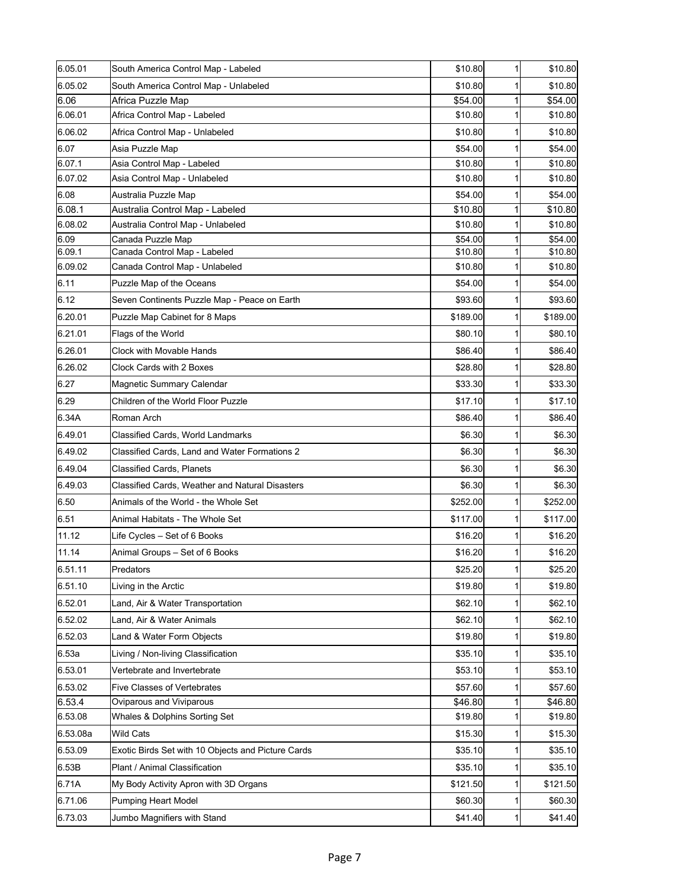| 6.05.01  | South America Control Map - Labeled                | \$10.80  | 1 | \$10.80  |
|----------|----------------------------------------------------|----------|---|----------|
| 6.05.02  | South America Control Map - Unlabeled              | \$10.80  | 1 | \$10.80  |
| 6.06     | Africa Puzzle Map                                  | \$54.00  |   | \$54.00  |
| 6.06.01  | Africa Control Map - Labeled                       | \$10.80  |   | \$10.80  |
| 6.06.02  | Africa Control Map - Unlabeled                     | \$10.80  | 1 | \$10.80  |
| 6.07     | Asia Puzzle Map                                    | \$54.00  |   | \$54.00  |
| 6.07.1   | Asia Control Map - Labeled                         | \$10.80  |   | \$10.80  |
| 6.07.02  | Asia Control Map - Unlabeled                       | \$10.80  |   | \$10.80  |
| 6.08     | Australia Puzzle Map                               | \$54.00  |   | \$54.00  |
| l6.08.1  | Australia Control Map - Labeled                    | \$10.80  | 1 | \$10.80  |
| 6.08.02  | Australia Control Map - Unlabeled                  | \$10.80  | 1 | \$10.80  |
| 6.09     | Canada Puzzle Map                                  | \$54.00  | 1 | \$54.00  |
| 6.09.1   | Canada Control Map - Labeled                       | \$10.80  |   | \$10.80  |
| 6.09.02  | Canada Control Map - Unlabeled                     | \$10.80  |   | \$10.80  |
| 6.11     | Puzzle Map of the Oceans                           | \$54.00  |   | \$54.00  |
| 6.12     | Seven Continents Puzzle Map - Peace on Earth       | \$93.60  |   | \$93.60  |
| 6.20.01  | Puzzle Map Cabinet for 8 Maps                      | \$189.00 |   | \$189.00 |
| 6.21.01  | Flags of the World                                 | \$80.10  |   | \$80.10  |
| 6.26.01  | Clock with Movable Hands                           | \$86.40  |   | \$86.40  |
| 6.26.02  | Clock Cards with 2 Boxes                           | \$28.80  |   | \$28.80  |
| 6.27     | Magnetic Summary Calendar                          | \$33.30  |   | \$33.30  |
| 6.29     | Children of the World Floor Puzzle                 | \$17.10  |   | \$17.10  |
| 6.34A    | Roman Arch                                         | \$86.40  |   | \$86.40  |
| 6.49.01  | Classified Cards, World Landmarks                  | \$6.30   |   | \$6.30   |
| 6.49.02  | Classified Cards, Land and Water Formations 2      | \$6.30   |   | \$6.30   |
| 6.49.04  | <b>Classified Cards, Planets</b>                   | \$6.30   |   | \$6.30   |
| 6.49.03  | Classified Cards, Weather and Natural Disasters    | \$6.30   |   | \$6.30   |
| 6.50     | Animals of the World - the Whole Set               | \$252.00 |   | \$252.00 |
| 6.51     | Animal Habitats - The Whole Set                    | \$117.00 |   | \$117.00 |
| 11.12    | Life Cycles - Set of 6 Books                       | \$16.20  |   | \$16.20  |
| 11.14    | Animal Groups - Set of 6 Books                     | \$16.20  |   | \$16.20  |
| 6.51.11  | Predators                                          | \$25.20  | 1 | \$25.20  |
| 6.51.10  | Living in the Arctic                               | \$19.80  |   | \$19.80  |
| 6.52.01  | Land, Air & Water Transportation                   | \$62.10  |   | \$62.10  |
| 6.52.02  | Land, Air & Water Animals                          | \$62.10  |   | \$62.10  |
| 6.52.03  | Land & Water Form Objects                          | \$19.80  |   | \$19.80  |
| 6.53a    | Living / Non-living Classification                 | \$35.10  |   | \$35.10  |
| 6.53.01  | Vertebrate and Invertebrate                        | \$53.10  |   | \$53.10  |
| 6.53.02  | <b>Five Classes of Vertebrates</b>                 | \$57.60  |   | \$57.60  |
| 6.53.4   | Oviparous and Viviparous                           | \$46.80  | 1 | \$46.80  |
| 6.53.08  | Whales & Dolphins Sorting Set                      | \$19.80  |   | \$19.80  |
| 6.53.08a | <b>Wild Cats</b>                                   | \$15.30  | 1 | \$15.30  |
| 6.53.09  | Exotic Birds Set with 10 Objects and Picture Cards | \$35.10  |   | \$35.10  |
| 6.53B    | Plant / Animal Classification                      | \$35.10  |   | \$35.10  |
| 6.71A    | My Body Activity Apron with 3D Organs              | \$121.50 |   | \$121.50 |
| 6.71.06  | Pumping Heart Model                                | \$60.30  | 1 | \$60.30  |
| 6.73.03  | Jumbo Magnifiers with Stand                        | \$41.40  | 1 | \$41.40  |
|          |                                                    |          |   |          |